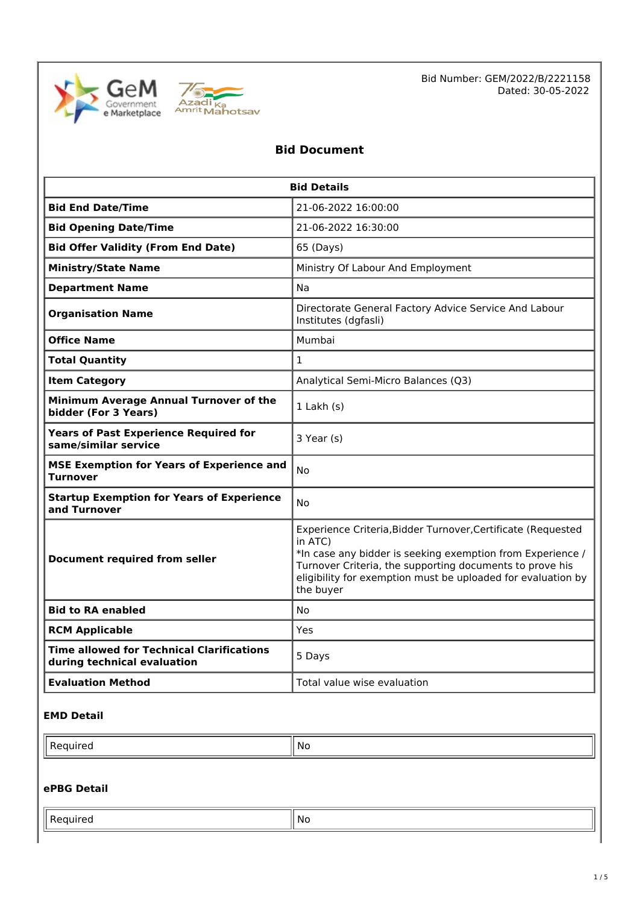



Bid Number: GEM/2022/B/2221158 Dated: 30-05-2022

## **Bid Document**

| <b>Bid Details</b>                                                              |                                                                                                                                                                                                                                                                                |  |  |
|---------------------------------------------------------------------------------|--------------------------------------------------------------------------------------------------------------------------------------------------------------------------------------------------------------------------------------------------------------------------------|--|--|
| <b>Bid End Date/Time</b>                                                        | 21-06-2022 16:00:00                                                                                                                                                                                                                                                            |  |  |
| <b>Bid Opening Date/Time</b>                                                    | 21-06-2022 16:30:00                                                                                                                                                                                                                                                            |  |  |
| <b>Bid Offer Validity (From End Date)</b>                                       | 65 (Days)                                                                                                                                                                                                                                                                      |  |  |
| <b>Ministry/State Name</b>                                                      | Ministry Of Labour And Employment                                                                                                                                                                                                                                              |  |  |
| <b>Department Name</b>                                                          | Na                                                                                                                                                                                                                                                                             |  |  |
| <b>Organisation Name</b>                                                        | Directorate General Factory Advice Service And Labour<br>Institutes (dgfasli)                                                                                                                                                                                                  |  |  |
| <b>Office Name</b>                                                              | Mumbai                                                                                                                                                                                                                                                                         |  |  |
| <b>Total Quantity</b>                                                           | $\mathbf{1}$                                                                                                                                                                                                                                                                   |  |  |
| <b>Item Category</b>                                                            | Analytical Semi-Micro Balances (Q3)                                                                                                                                                                                                                                            |  |  |
| Minimum Average Annual Turnover of the<br>bidder (For 3 Years)                  | $1$ Lakh $(s)$                                                                                                                                                                                                                                                                 |  |  |
| <b>Years of Past Experience Required for</b><br>same/similar service            | 3 Year (s)                                                                                                                                                                                                                                                                     |  |  |
| <b>MSE Exemption for Years of Experience and</b><br><b>Turnover</b>             | No                                                                                                                                                                                                                                                                             |  |  |
| <b>Startup Exemption for Years of Experience</b><br>and Turnover                | No                                                                                                                                                                                                                                                                             |  |  |
| Document required from seller                                                   | Experience Criteria, Bidder Turnover, Certificate (Requested<br>in ATC)<br>*In case any bidder is seeking exemption from Experience /<br>Turnover Criteria, the supporting documents to prove his<br>eligibility for exemption must be uploaded for evaluation by<br>the buyer |  |  |
| <b>Bid to RA enabled</b>                                                        | No                                                                                                                                                                                                                                                                             |  |  |
| <b>RCM Applicable</b>                                                           | Yes                                                                                                                                                                                                                                                                            |  |  |
| <b>Time allowed for Technical Clarifications</b><br>during technical evaluation | 5 Days                                                                                                                                                                                                                                                                         |  |  |
| <b>Evaluation Method</b>                                                        | Total value wise evaluation                                                                                                                                                                                                                                                    |  |  |

## **EMD Detail**

| .No |
|-----|
|     |

## **ePBG Detail**

| <br>No |
|--------|
| $\sim$ |
|        |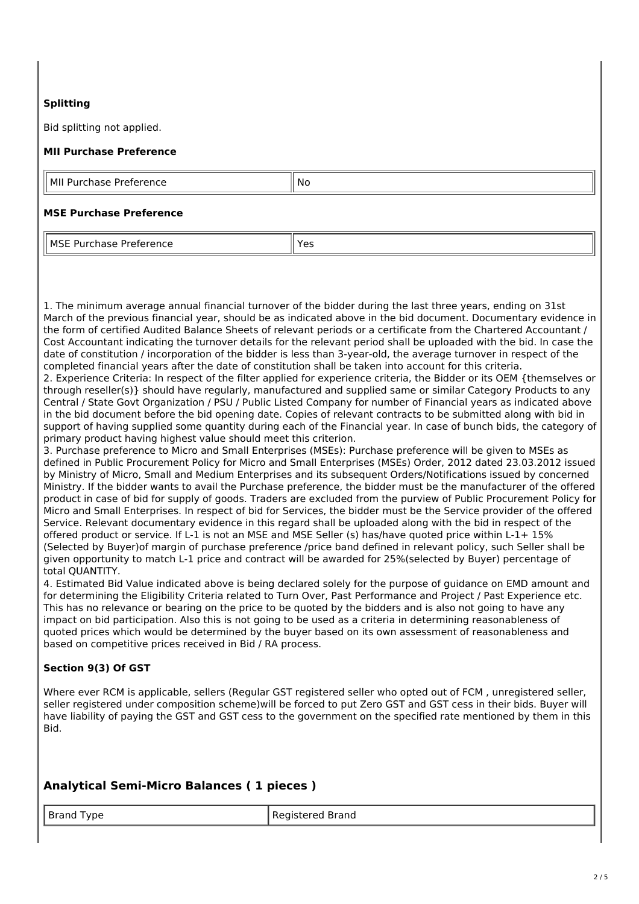## **Splitting**

Bid splitting not applied.

## **MII Purchase Preference**

MII Purchase Preference  $\|\mathsf{No}\|$ 

#### **MSE Purchase Preference**

MSE Purchase Preference Yes

1. The minimum average annual financial turnover of the bidder during the last three years, ending on 31st March of the previous financial year, should be as indicated above in the bid document. Documentary evidence in the form of certified Audited Balance Sheets of relevant periods or a certificate from the Chartered Accountant / Cost Accountant indicating the turnover details for the relevant period shall be uploaded with the bid. In case the date of constitution / incorporation of the bidder is less than 3-year-old, the average turnover in respect of the completed financial years after the date of constitution shall be taken into account for this criteria.

2. Experience Criteria: In respect of the filter applied for experience criteria, the Bidder or its OEM {themselves or through reseller(s)} should have regularly, manufactured and supplied same or similar Category Products to any Central / State Govt Organization / PSU / Public Listed Company for number of Financial years as indicated above in the bid document before the bid opening date. Copies of relevant contracts to be submitted along with bid in support of having supplied some quantity during each of the Financial year. In case of bunch bids, the category of primary product having highest value should meet this criterion.

3. Purchase preference to Micro and Small Enterprises (MSEs): Purchase preference will be given to MSEs as defined in Public Procurement Policy for Micro and Small Enterprises (MSEs) Order, 2012 dated 23.03.2012 issued by Ministry of Micro, Small and Medium Enterprises and its subsequent Orders/Notifications issued by concerned Ministry. If the bidder wants to avail the Purchase preference, the bidder must be the manufacturer of the offered product in case of bid for supply of goods. Traders are excluded from the purview of Public Procurement Policy for Micro and Small Enterprises. In respect of bid for Services, the bidder must be the Service provider of the offered Service. Relevant documentary evidence in this regard shall be uploaded along with the bid in respect of the offered product or service. If L-1 is not an MSE and MSE Seller (s) has/have quoted price within L-1+ 15% (Selected by Buyer)of margin of purchase preference /price band defined in relevant policy, such Seller shall be given opportunity to match L-1 price and contract will be awarded for 25%(selected by Buyer) percentage of total QUANTITY.

4. Estimated Bid Value indicated above is being declared solely for the purpose of guidance on EMD amount and for determining the Eligibility Criteria related to Turn Over, Past Performance and Project / Past Experience etc. This has no relevance or bearing on the price to be quoted by the bidders and is also not going to have any impact on bid participation. Also this is not going to be used as a criteria in determining reasonableness of quoted prices which would be determined by the buyer based on its own assessment of reasonableness and based on competitive prices received in Bid / RA process.

## **Section 9(3) Of GST**

Where ever RCM is applicable, sellers (Regular GST registered seller who opted out of FCM, unregistered seller, seller registered under composition scheme)will be forced to put Zero GST and GST cess in their bids. Buyer will have liability of paying the GST and GST cess to the government on the specified rate mentioned by them in this Bid.

## **Analytical Semi-Micro Balances ( 1 pieces )**

#### Brand Type Registered Brand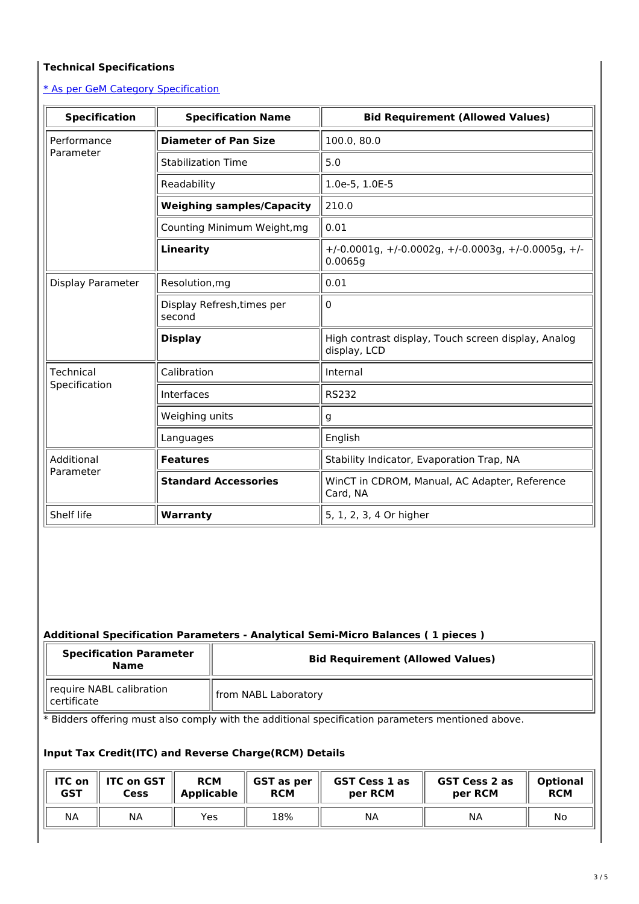## **Technical Specifications**

\* As per GeM Category [Specification](https://bidplus.gem.gov.in/bidding/bid/showCatalogue/q6v9tjfX0vVE8eZeXn-6HN4NZ3TRJ_SYPzfTrksDigc)

| <b>Specification</b> | <b>Specification Name</b>            | <b>Bid Requirement (Allowed Values)</b>                                      |  |  |
|----------------------|--------------------------------------|------------------------------------------------------------------------------|--|--|
| Performance          | <b>Diameter of Pan Size</b>          | 100.0, 80.0                                                                  |  |  |
| Parameter            | <b>Stabilization Time</b>            | 5.0                                                                          |  |  |
|                      | Readability                          | 1.0e-5, 1.0E-5                                                               |  |  |
|                      | <b>Weighing samples/Capacity</b>     | 210.0                                                                        |  |  |
|                      | Counting Minimum Weight, mg          | 0.01                                                                         |  |  |
|                      | <b>Linearity</b>                     | $+/-0.0001$ g, $+/-0.0002$ g, $+/-0.0003$ g, $+/-0.0005$ g, $+/-$<br>0.0065q |  |  |
| Display Parameter    | Resolution, mg                       | 0.01                                                                         |  |  |
|                      | Display Refresh, times per<br>second | 0                                                                            |  |  |
|                      | <b>Display</b>                       | High contrast display, Touch screen display, Analog<br>display, LCD          |  |  |
| <b>Technical</b>     | Calibration                          | Internal                                                                     |  |  |
| Specification        | Interfaces                           | <b>RS232</b>                                                                 |  |  |
|                      | Weighing units                       | g                                                                            |  |  |
|                      | Languages                            | English                                                                      |  |  |
| Additional           | <b>Features</b>                      | Stability Indicator, Evaporation Trap, NA                                    |  |  |
| Parameter            | <b>Standard Accessories</b>          | WinCT in CDROM, Manual, AC Adapter, Reference<br>Card, NA                    |  |  |
| Shelf life           | Warranty                             | 5, 1, 2, 3, 4 Or higher                                                      |  |  |

## **Additional Specification Parameters - Analytical Semi-Micro Balances ( 1 pieces )**

| <b>Specification Parameter</b><br><b>Name</b> | <b>Bid Requirement (Allowed Values)</b> |  |
|-----------------------------------------------|-----------------------------------------|--|
| require NABL calibration<br>ll certificate    | from NABL Laboratory                    |  |

\* Bidders offering must also comply with the additional specification parameters mentioned above.

## **Input Tax Credit(ITC) and Reverse Charge(RCM) Details**

| <b>ITC on</b> | <b>ITC on GST</b> | <b>RCM</b>        | <b>GST</b> as per | <b>GST Cess 1 as</b> | <b>GST Cess 2 as</b> | <b>Optional</b> |
|---------------|-------------------|-------------------|-------------------|----------------------|----------------------|-----------------|
| <b>GST</b>    | <b>Cess</b>       | <b>Applicable</b> | <b>RCM</b>        | per RCM              | per RCM              | <b>RCM</b>      |
| <b>NA</b>     | NА                | Yes               | 18%               | NA                   | NA                   | No              |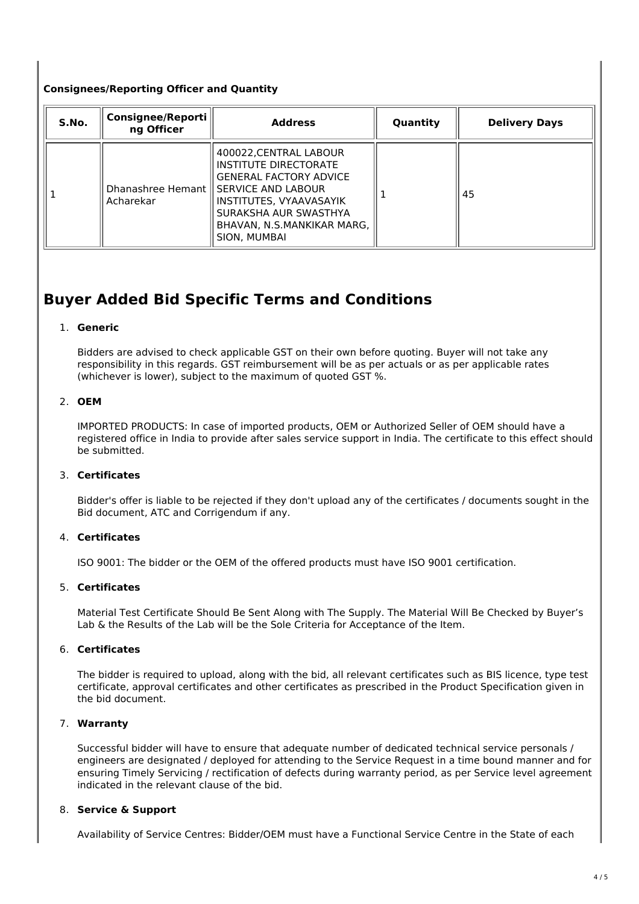## **Consignees/Reporting Officer and Quantity**

| S.No. | <b>Consignee/Reporti</b><br>ng Officer | <b>Address</b>                                                                                                                                                                                                                | Quantity | <b>Delivery Days</b> |
|-------|----------------------------------------|-------------------------------------------------------------------------------------------------------------------------------------------------------------------------------------------------------------------------------|----------|----------------------|
|       | Acharekar                              | 400022, CENTRAL LABOUR<br>INSTITUTE DIRECTORATE<br><b>GENERAL FACTORY ADVICE</b><br>Dhanashree Hemant    SERVICE AND LABOUR<br>INSTITUTES, VYAAVASAYIK<br>SURAKSHA AUR SWASTHYA<br>BHAVAN, N.S.MANKIKAR MARG,<br>SION, MUMBAI |          | 45                   |

# **Buyer Added Bid Specific Terms and Conditions**

#### 1. **Generic**

Bidders are advised to check applicable GST on their own before quoting. Buyer will not take any responsibility in this regards. GST reimbursement will be as per actuals or as per applicable rates (whichever is lower), subject to the maximum of quoted GST %.

#### 2. **OEM**

IMPORTED PRODUCTS: In case of imported products, OEM or Authorized Seller of OEM should have a registered office in India to provide after sales service support in India. The certificate to this effect should be submitted.

#### 3. **Certificates**

Bidder's offer is liable to be rejected if they don't upload any of the certificates / documents sought in the Bid document, ATC and Corrigendum if any.

### 4. **Certificates**

ISO 9001: The bidder or the OEM of the offered products must have ISO 9001 certification.

#### 5. **Certificates**

Material Test Certificate Should Be Sent Along with The Supply. The Material Will Be Checked by Buyer's Lab & the Results of the Lab will be the Sole Criteria for Acceptance of the Item.

### 6. **Certificates**

The bidder is required to upload, along with the bid, all relevant certificates such as BIS licence, type test certificate, approval certificates and other certificates as prescribed in the Product Specification given in the bid document.

#### 7. **Warranty**

Successful bidder will have to ensure that adequate number of dedicated technical service personals / engineers are designated / deployed for attending to the Service Request in a time bound manner and for ensuring Timely Servicing / rectification of defects during warranty period, as per Service level agreement indicated in the relevant clause of the bid.

### 8. **Service & Support**

Availability of Service Centres: Bidder/OEM must have a Functional Service Centre in the State of each